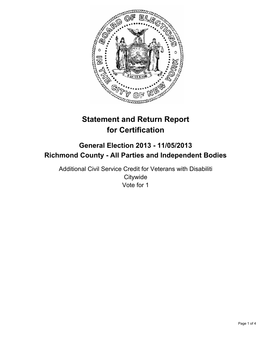

# **Statement and Return Report for Certification**

## **General Election 2013 - 11/05/2013 Richmond County - All Parties and Independent Bodies**

Additional Civil Service Credit for Veterans with Disabiliti **Citywide** Vote for 1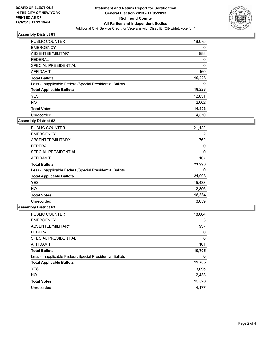

### **Assembly District 61**

| <b>PUBLIC COUNTER</b>                                    | 18,075 |
|----------------------------------------------------------|--------|
| <b>EMERGENCY</b>                                         | 0      |
| ABSENTEE/MILITARY                                        | 988    |
| <b>FEDERAL</b>                                           | 0      |
| <b>SPECIAL PRESIDENTIAL</b>                              | 0      |
| AFFIDAVIT                                                | 160    |
| <b>Total Ballots</b>                                     | 19,223 |
| Less - Inapplicable Federal/Special Presidential Ballots | 0      |
| <b>Total Applicable Ballots</b>                          | 19,223 |
| <b>YES</b>                                               | 12,851 |
| <b>NO</b>                                                | 2,002  |
| <b>Total Votes</b>                                       | 14,853 |
| Unrecorded                                               | 4,370  |

#### **Assembly District 62**

| PUBLIC COUNTER                                           | 21,122 |
|----------------------------------------------------------|--------|
| <b>EMERGENCY</b>                                         | 2      |
| ABSENTEE/MILITARY                                        | 762    |
| <b>FEDERAL</b>                                           | 0      |
| <b>SPECIAL PRESIDENTIAL</b>                              | 0      |
| AFFIDAVIT                                                | 107    |
| <b>Total Ballots</b>                                     | 21,993 |
| Less - Inapplicable Federal/Special Presidential Ballots | 0      |
| <b>Total Applicable Ballots</b>                          | 21,993 |
| <b>YES</b>                                               | 15,438 |
| <b>NO</b>                                                | 2,896  |
| <b>Total Votes</b>                                       | 18,334 |
| Unrecorded                                               | 3,659  |

#### **Assembly District 63**

| <b>PUBLIC COUNTER</b>                                    | 18,664 |
|----------------------------------------------------------|--------|
| <b>EMERGENCY</b>                                         | 3      |
| ABSENTEE/MILITARY                                        | 937    |
| <b>FEDERAL</b>                                           | 0      |
| SPECIAL PRESIDENTIAL                                     | 0      |
| <b>AFFIDAVIT</b>                                         | 101    |
| <b>Total Ballots</b>                                     | 19,705 |
| Less - Inapplicable Federal/Special Presidential Ballots | 0      |
| <b>Total Applicable Ballots</b>                          | 19,705 |
| <b>YES</b>                                               | 13,095 |
| <b>NO</b>                                                | 2,433  |
| <b>Total Votes</b>                                       | 15,528 |
| Unrecorded                                               | 4,177  |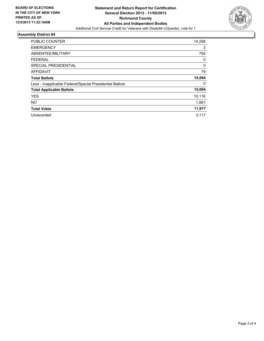

### **Assembly District 64**

| PUBLIC COUNTER                                           | 14,258 |
|----------------------------------------------------------|--------|
| <b>EMERGENCY</b>                                         | 2      |
| ABSENTEE/MILITARY                                        | 755    |
| <b>FEDERAL</b>                                           | 0      |
| <b>SPECIAL PRESIDENTIAL</b>                              | 0      |
| <b>AFFIDAVIT</b>                                         | 79     |
| <b>Total Ballots</b>                                     | 15,094 |
| Less - Inapplicable Federal/Special Presidential Ballots | 0      |
| <b>Total Applicable Ballots</b>                          | 15,094 |
| <b>YES</b>                                               | 10,116 |
| NO.                                                      | 1,861  |
| <b>Total Votes</b>                                       | 11,977 |
| Unrecorded                                               | 3,117  |